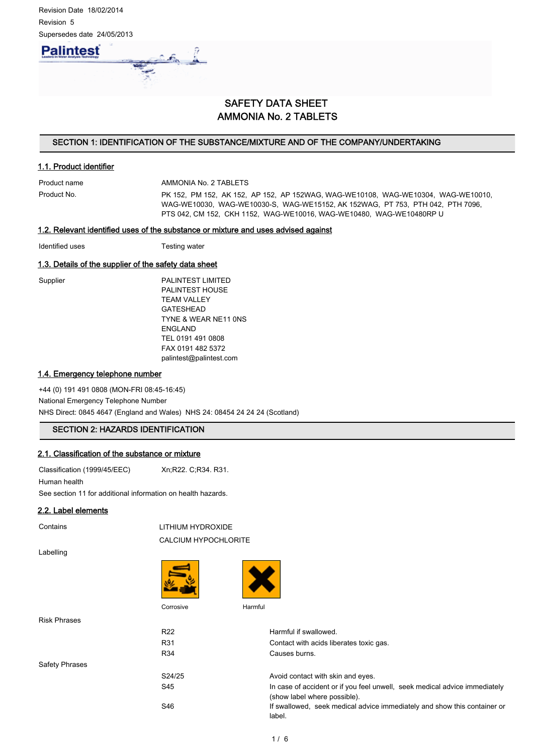

# SAFETY DATA SHEET AMMONIA No. 2 TABLETS

# SECTION 1: IDENTIFICATION OF THE SUBSTANCE/MIXTURE AND OF THE COMPANY/UNDERTAKING

# 1.1. Product identifier

Product name **AMMONIA No. 2 TABLETS** 

Product No. PK 152, PM 152, AK 152, AP 152, AP 152WAG, WAG-WE10108, WAG-WE10304, WAG-WE10010, WAG-WE10030, WAG-WE10030-S, WAG-WE15152, AK 152WAG, PT 753, PTH 042, PTH 7096, PTS 042, CM 152, CKH 1152, WAG-WE10016, WAG-WE10480, WAG-WE10480RP U

#### 1.2. Relevant identified uses of the substance or mixture and uses advised against

Identified uses Testing water

#### 1.3. Details of the supplier of the safety data sheet

Supplier PALINTEST LIMITED PALINTEST HOUSE TEAM VALLEY GATESHEAD TYNE & WEAR NE11 0NS ENGLAND TEL 0191 491 0808 FAX 0191 482 5372 palintest@palintest.com

#### 1.4. Emergency telephone number

+44 (0) 191 491 0808 (MON-FRI 08:45-16:45) National Emergency Telephone Number NHS Direct: 0845 4647 (England and Wales) NHS 24: 08454 24 24 24 (Scotland)

# SECTION 2: HAZARDS IDENTIFICATION

# 2.1. Classification of the substance or mixture

Classification (1999/45/EEC) Xn;R22. C;R34. R31.

Human health

See section 11 for additional information on health hazards.

# 2.2. Label elements

Contains LITHIUM HYDROXIDE CALCIUM HYPOCHLORITE

Labelling





Corrosive Harmful

| <b>Risk Phrases</b>   |                 |                                                                                                            |
|-----------------------|-----------------|------------------------------------------------------------------------------------------------------------|
|                       | R <sub>22</sub> | Harmful if swallowed.                                                                                      |
|                       | R31             | Contact with acids liberates toxic gas.                                                                    |
|                       | R <sub>34</sub> | Causes burns.                                                                                              |
| <b>Safety Phrases</b> |                 |                                                                                                            |
|                       | S24/25          | Avoid contact with skin and eyes.                                                                          |
|                       | S45             | In case of accident or if you feel unwell, seek medical advice immediately<br>(show label where possible). |
|                       | S46             | If swallowed, seek medical advice immediately and show this container or<br>label.                         |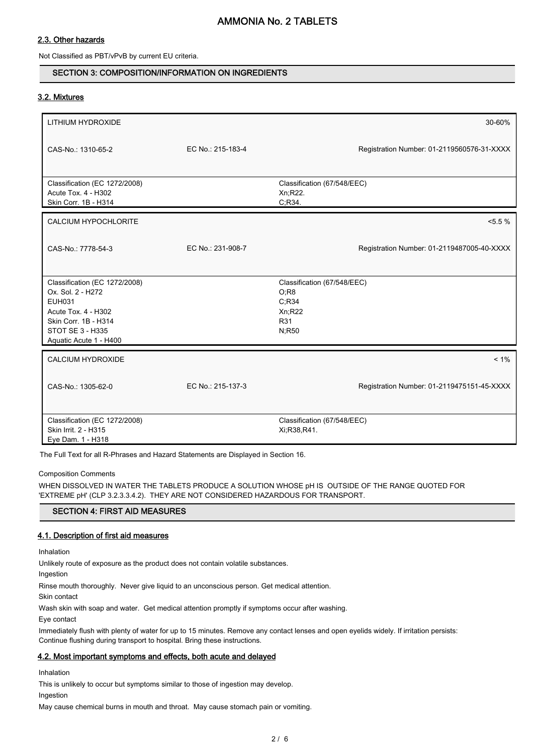# 2.3. Other hazards

Not Classified as PBT/vPvB by current EU criteria.

# SECTION 3: COMPOSITION/INFORMATION ON INGREDIENTS

# 3.2. Mixtures

| LITHIUM HYDROXIDE                                                                                                                                                       |                   | 30-60%                                                                  |
|-------------------------------------------------------------------------------------------------------------------------------------------------------------------------|-------------------|-------------------------------------------------------------------------|
| CAS-No.: 1310-65-2                                                                                                                                                      | EC No.: 215-183-4 | Registration Number: 01-2119560576-31-XXXX                              |
| Classification (EC 1272/2008)<br>Acute Tox. 4 - H302<br>Skin Corr. 1B - H314                                                                                            |                   | Classification (67/548/EEC)<br>Xn;R22.<br>C, R34.                       |
| <b>CALCIUM HYPOCHLORITE</b>                                                                                                                                             |                   | $< 5.5 \%$                                                              |
| CAS-No.: 7778-54-3                                                                                                                                                      | EC No.: 231-908-7 | Registration Number: 01-2119487005-40-XXXX                              |
| Classification (EC 1272/2008)<br>Ox. Sol. 2 - H272<br><b>EUH031</b><br>Acute Tox. 4 - H302<br>Skin Corr. 1B - H314<br><b>STOT SE 3 - H335</b><br>Aquatic Acute 1 - H400 |                   | Classification (67/548/EEC)<br>O;R8<br>C; R34<br>Xn;R22<br>R31<br>N;R50 |
| <b>CALCIUM HYDROXIDE</b>                                                                                                                                                |                   | $< 1\%$                                                                 |
| CAS-No.: 1305-62-0                                                                                                                                                      | EC No.: 215-137-3 | Registration Number: 01-2119475151-45-XXXX                              |
| Classification (EC 1272/2008)<br>Skin Irrit. 2 - H315<br>Eye Dam. 1 - H318                                                                                              |                   | Classification (67/548/EEC)<br>Xi; R38, R41.                            |

The Full Text for all R-Phrases and Hazard Statements are Displayed in Section 16.

#### Composition Comments

WHEN DISSOLVED IN WATER THE TABLETS PRODUCE A SOLUTION WHOSE pH IS OUTSIDE OF THE RANGE QUOTED FOR 'EXTREME pH' (CLP 3.2.3.3.4.2). THEY ARE NOT CONSIDERED HAZARDOUS FOR TRANSPORT.

# SECTION 4: FIRST AID MEASURES

# 4.1. Description of first aid measures

Inhalation

Unlikely route of exposure as the product does not contain volatile substances.

Ingestion

Rinse mouth thoroughly. Never give liquid to an unconscious person. Get medical attention.

Skin contact

Wash skin with soap and water. Get medical attention promptly if symptoms occur after washing.

Eye contact

Immediately flush with plenty of water for up to 15 minutes. Remove any contact lenses and open eyelids widely. If irritation persists: Continue flushing during transport to hospital. Bring these instructions.

# 4.2. Most important symptoms and effects, both acute and delayed

Inhalation

This is unlikely to occur but symptoms similar to those of ingestion may develop.

Ingestion

May cause chemical burns in mouth and throat. May cause stomach pain or vomiting.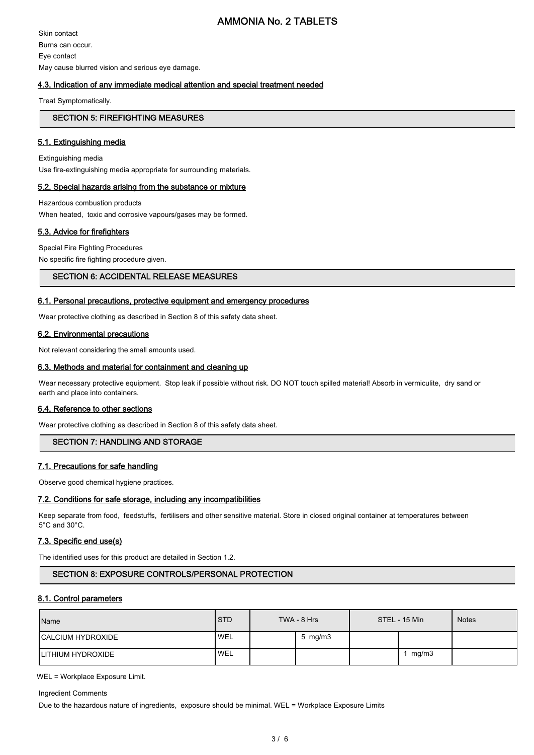# AMMONIA No. 2 TABLETS

Skin contact Burns can occur. Eye contact May cause blurred vision and serious eye damage.

# 4.3. Indication of any immediate medical attention and special treatment needed

Treat Symptomatically.

### SECTION 5: FIREFIGHTING MEASURES

#### 5.1. Extinguishing media

Extinguishing media Use fire-extinguishing media appropriate for surrounding materials.

#### 5.2. Special hazards arising from the substance or mixture

Hazardous combustion products When heated, toxic and corrosive vapours/gases may be formed.

# 5.3. Advice for firefighters

Special Fire Fighting Procedures No specific fire fighting procedure given.

#### SECTION 6: ACCIDENTAL RELEASE MEASURES

### 6.1. Personal precautions, protective equipment and emergency procedures

Wear protective clothing as described in Section 8 of this safety data sheet.

#### 6.2. Environmental precautions

Not relevant considering the small amounts used.

#### 6.3. Methods and material for containment and cleaning up

Wear necessary protective equipment. Stop leak if possible without risk. DO NOT touch spilled material! Absorb in vermiculite, dry sand or earth and place into containers.

#### 6.4. Reference to other sections

Wear protective clothing as described in Section 8 of this safety data sheet.

# SECTION 7: HANDLING AND STORAGE

# 7.1. Precautions for safe handling

Observe good chemical hygiene practices.

#### 7.2. Conditions for safe storage, including any incompatibilities

Keep separate from food, feedstuffs, fertilisers and other sensitive material. Store in closed original container at temperatures between 5°C and 30°C.

# 7.3. Specific end use(s)

The identified uses for this product are detailed in Section 1.2.

# SECTION 8: EXPOSURE CONTROLS/PERSONAL PROTECTION

#### 8.1. Control parameters

| Name                      | <b>STD</b> | TWA - 8 Hrs |                 | STEL - 15 Min |       | <b>Notes</b> |
|---------------------------|------------|-------------|-----------------|---------------|-------|--------------|
| <b>ICALCIUM HYDROXIDE</b> | <b>WEL</b> |             | $5 \,$ mg/m $3$ |               |       |              |
| <b>ILITHIUM HYDROXIDE</b> | <b>WEL</b> |             |                 |               | mg/m3 |              |

WEL = Workplace Exposure Limit.

Ingredient Comments

Due to the hazardous nature of ingredients, exposure should be minimal. WEL = Workplace Exposure Limits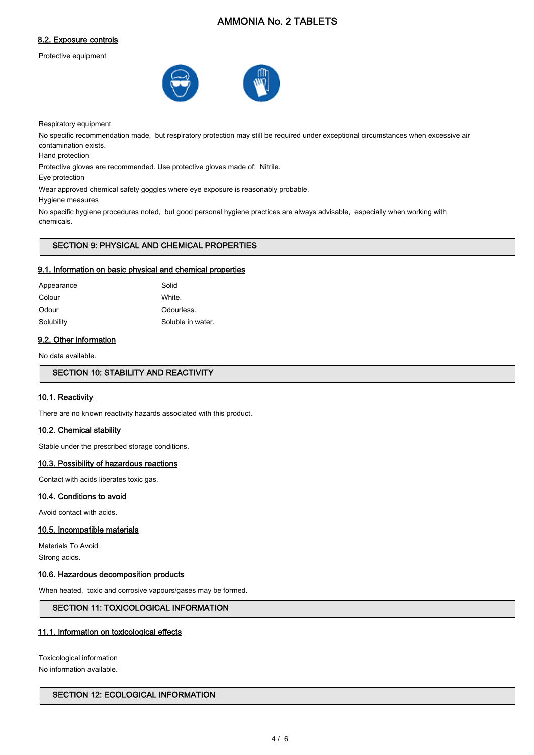# AMMONIA No. 2 TABLETS

# 8.2. Exposure controls

Protective equipment



Respiratory equipment

No specific recommendation made, but respiratory protection may still be required under exceptional circumstances when excessive air contamination exists.

Hand protection

Protective gloves are recommended. Use protective gloves made of: Nitrile.

Eye protection

Wear approved chemical safety goggles where eye exposure is reasonably probable.

Hygiene measures

No specific hygiene procedures noted, but good personal hygiene practices are always advisable, especially when working with chemicals.

# SECTION 9: PHYSICAL AND CHEMICAL PROPERTIES

#### 9.1. Information on basic physical and chemical properties

| Appearance | Solid             |
|------------|-------------------|
| Colour     | White.            |
| Odour      | Odourless.        |
| Solubility | Soluble in water. |

#### 9.2. Other information

No data available.

SECTION 10: STABILITY AND REACTIVITY

#### 10.1. Reactivity

There are no known reactivity hazards associated with this product.

### 10.2. Chemical stability

Stable under the prescribed storage conditions.

#### 10.3. Possibility of hazardous reactions

Contact with acids liberates toxic gas.

#### 10.4. Conditions to avoid

Avoid contact with acids.

#### 10.5. Incompatible materials

Materials To Avoid Strong acids.

#### 10.6. Hazardous decomposition products

When heated, toxic and corrosive vapours/gases may be formed.

# SECTION 11: TOXICOLOGICAL INFORMATION

#### 11.1. Information on toxicological effects

Toxicological information No information available.

## SECTION 12: ECOLOGICAL INFORMATION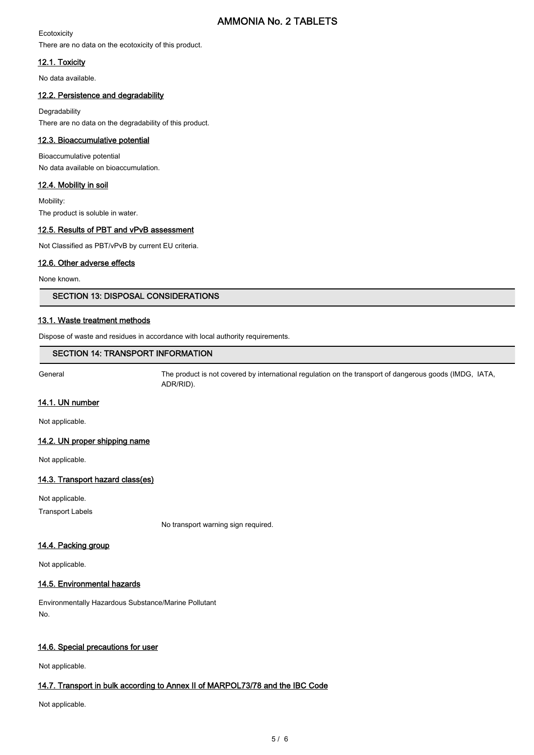# AMMONIA No. 2 TABLETS

#### **Ecotoxicity** There are no data on the ecotoxicity of this product.

# 12.1. Toxicity

No data available.

# 12.2. Persistence and degradability

Degradability There are no data on the degradability of this product.

# 12.3. Bioaccumulative potential

Bioaccumulative potential No data available on bioaccumulation.

# 12.4. Mobility in soil

Mobility: The product is soluble in water.

# 12.5. Results of PBT and vPvB assessment

Not Classified as PBT/vPvB by current EU criteria.

# 12.6. Other adverse effects

None known.

# SECTION 13: DISPOSAL CONSIDERATIONS

# 13.1. Waste treatment methods

Dispose of waste and residues in accordance with local authority requirements.

# SECTION 14: TRANSPORT INFORMATION

General The product is not covered by international regulation on the transport of dangerous goods (IMDG, IATA, ADR/RID).

# 14.1. UN number

Not applicable.

# 14.2. UN proper shipping name

Not applicable.

# 14.3. Transport hazard class(es)

Not applicable.

Transport Labels

No transport warning sign required.

# 14.4. Packing group

Not applicable.

# 14.5. Environmental hazards

Environmentally Hazardous Substance/Marine Pollutant No.

# 14.6. Special precautions for user

Not applicable.

# 14.7. Transport in bulk according to Annex II of MARPOL73/78 and the IBC Code

Not applicable.